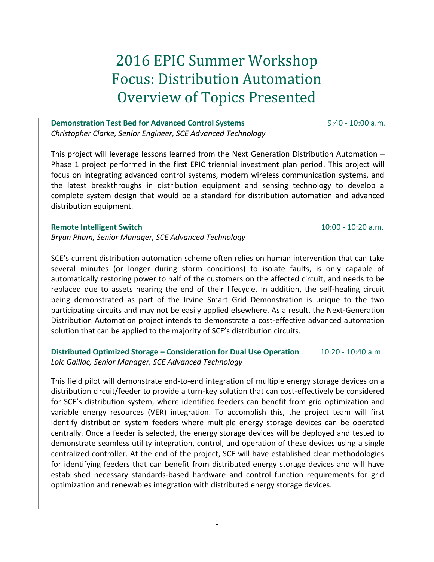# 2016 EPIC Summer Workshop Focus: Distribution Automation Overview of Topics Presented

#### **Demonstration Test Bed for Advanced Control Systems** 9:40 - 10:00 a.m.

*Christopher Clarke, Senior Engineer, SCE Advanced Technology* 

This project will leverage lessons learned from the Next Generation Distribution Automation – Phase 1 project performed in the first EPIC triennial investment plan period. This project will focus on integrating advanced control systems, modern wireless communication systems, and the latest breakthroughs in distribution equipment and sensing technology to develop a complete system design that would be a standard for distribution automation and advanced distribution equipment.

#### **Remote Intelligent Switch** 10:00 - 10:20 a.m.

*Bryan Pham, Senior Manager, SCE Advanced Technology*

SCE's current distribution automation scheme often relies on human intervention that can take several minutes (or longer during storm conditions) to isolate faults, is only capable of automatically restoring power to half of the customers on the affected circuit, and needs to be replaced due to assets nearing the end of their lifecycle. In addition, the self-healing circuit being demonstrated as part of the Irvine Smart Grid Demonstration is unique to the two participating circuits and may not be easily applied elsewhere. As a result, the Next-Generation Distribution Automation project intends to demonstrate a cost-effective advanced automation solution that can be applied to the majority of SCE's distribution circuits.

## **Distributed Optimized Storage – Consideration for Dual Use Operation** 10:20 - 10:40 a.m. *Loic Gaillac, Senior Manager, SCE Advanced Technology*

This field pilot will demonstrate end-to-end integration of multiple energy storage devices on a distribution circuit/feeder to provide a turn-key solution that can cost-effectively be considered for SCE's distribution system, where identified feeders can benefit from grid optimization and variable energy resources (VER) integration. To accomplish this, the project team will first identify distribution system feeders where multiple energy storage devices can be operated centrally. Once a feeder is selected, the energy storage devices will be deployed and tested to demonstrate seamless utility integration, control, and operation of these devices using a single centralized controller. At the end of the project, SCE will have established clear methodologies for identifying feeders that can benefit from distributed energy storage devices and will have established necessary standards-based hardware and control function requirements for grid optimization and renewables integration with distributed energy storage devices.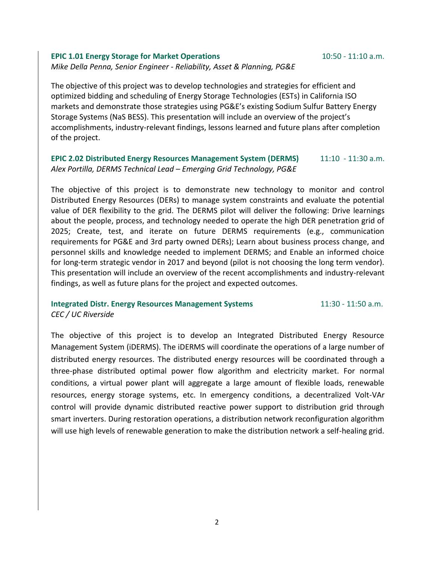#### **EPIC 1.01 Energy Storage for Market Operations** 10:50 - 11:10 a.m. *Mike Della Penna, Senior Engineer - Reliability, Asset & Planning, PG&E*

The objective of this project was to develop technologies and strategies for efficient and optimized bidding and scheduling of Energy Storage Technologies (ESTs) in California ISO markets and demonstrate those strategies using PG&E's existing Sodium Sulfur Battery Energy Storage Systems (NaS BESS). This presentation will include an overview of the project's accomplishments, industry-relevant findings, lessons learned and future plans after completion of the project.

## **EPIC 2.02 Distributed Energy Resources Management System (DERMS)** 11:10 - 11:30 a.m. *Alex Portilla, DERMS Technical Lead – Emerging Grid Technology, PG&E*

The objective of this project is to demonstrate new technology to monitor and control Distributed Energy Resources (DERs) to manage system constraints and evaluate the potential value of DER flexibility to the grid. The DERMS pilot will deliver the following: Drive learnings about the people, process, and technology needed to operate the high DER penetration grid of 2025; Create, test, and iterate on future DERMS requirements (e.g., communication requirements for PG&E and 3rd party owned DERs); Learn about business process change, and personnel skills and knowledge needed to implement DERMS; and Enable an informed choice for long-term strategic vendor in 2017 and beyond (pilot is not choosing the long term vendor). This presentation will include an overview of the recent accomplishments and industry-relevant findings, as well as future plans for the project and expected outcomes.

#### **Integrated Distr. Energy Resources Management Systems 11:30 - 11:50 a.m.** *CEC / UC Riverside*

The objective of this project is to develop an Integrated Distributed Energy Resource Management System (iDERMS). The iDERMS will coordinate the operations of a large number of distributed energy resources. The distributed energy resources will be coordinated through a three-phase distributed optimal power flow algorithm and electricity market. For normal conditions, a virtual power plant will aggregate a large amount of flexible loads, renewable resources, energy storage systems, etc. In emergency conditions, a decentralized Volt-VAr control will provide dynamic distributed reactive power support to distribution grid through smart inverters. During restoration operations, a distribution network reconfiguration algorithm will use high levels of renewable generation to make the distribution network a self-healing grid.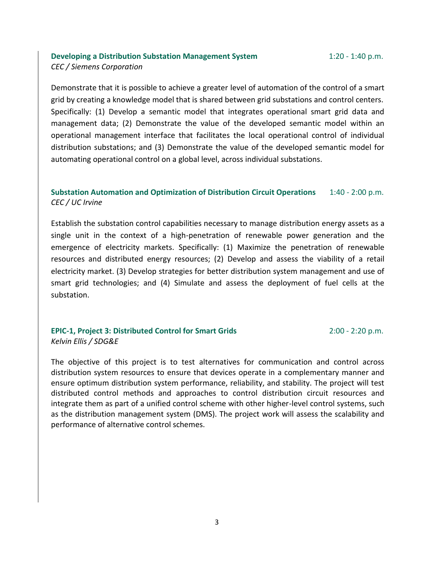### **Developing a Distribution Substation Management System**  $1:20 - 1:40$  **p.m.** *CEC / Siemens Corporation*

Demonstrate that it is possible to achieve a greater level of automation of the control of a smart grid by creating a knowledge model that is shared between grid substations and control centers. Specifically: (1) Develop a semantic model that integrates operational smart grid data and management data; (2) Demonstrate the value of the developed semantic model within an operational management interface that facilitates the local operational control of individual distribution substations; and (3) Demonstrate the value of the developed semantic model for automating operational control on a global level, across individual substations.

## **Substation Automation and Optimization of Distribution Circuit Operations** 1:40 - 2:00 p.m. *CEC / UC Irvine*

Establish the substation control capabilities necessary to manage distribution energy assets as a single unit in the context of a high-penetration of renewable power generation and the emergence of electricity markets. Specifically: (1) Maximize the penetration of renewable resources and distributed energy resources; (2) Develop and assess the viability of a retail electricity market. (3) Develop strategies for better distribution system management and use of smart grid technologies; and (4) Simulate and assess the deployment of fuel cells at the substation.

#### **EPIC-1, Project 3: Distributed Control for Smart Grids** 2:00 - 2:20 p.m. *Kelvin Ellis / SDG&E*

The objective of this project is to test alternatives for communication and control across distribution system resources to ensure that devices operate in a complementary manner and ensure optimum distribution system performance, reliability, and stability. The project will test distributed control methods and approaches to control distribution circuit resources and integrate them as part of a unified control scheme with other higher-level control systems, such as the distribution management system (DMS). The project work will assess the scalability and performance of alternative control schemes.